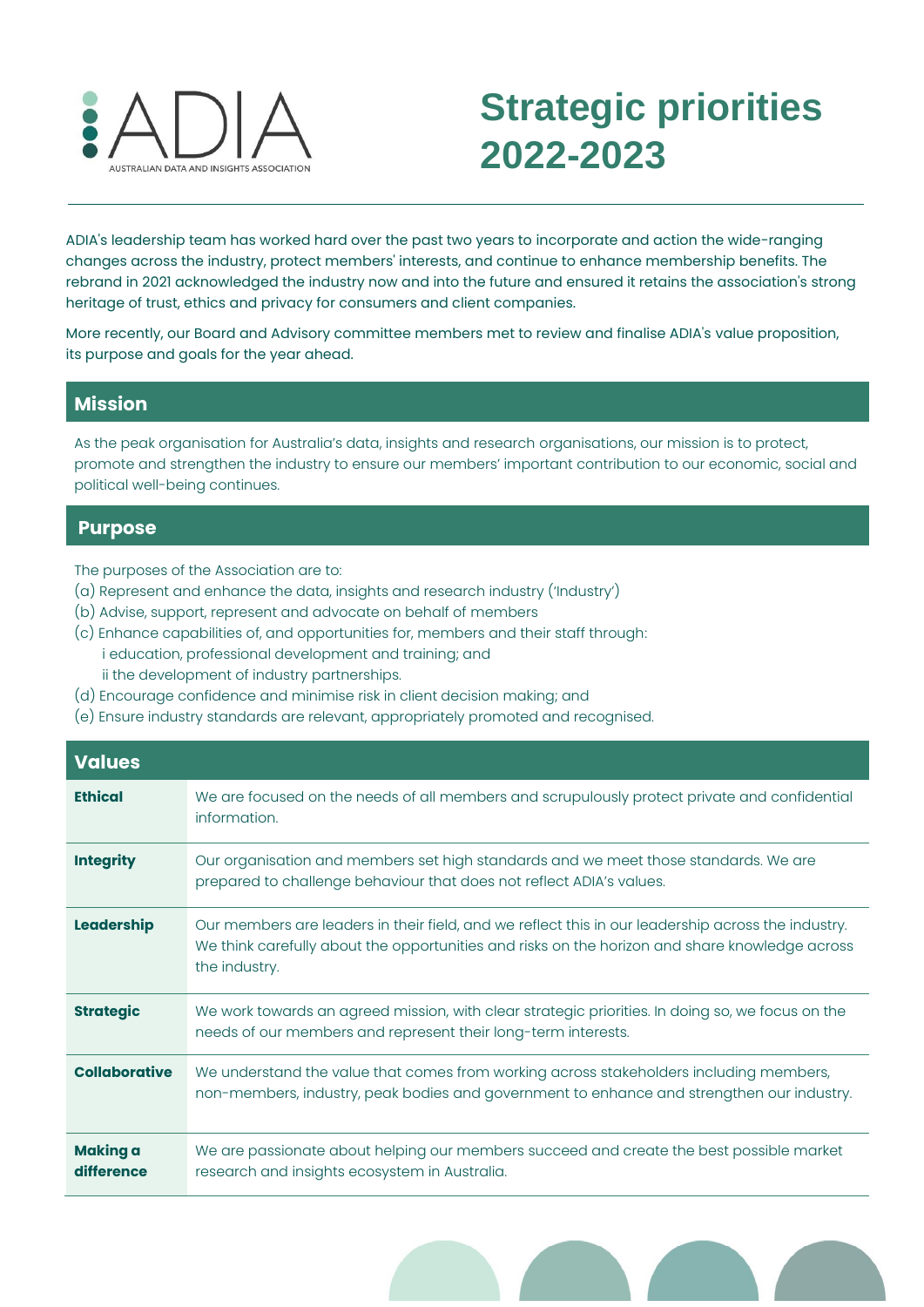

## **Strategic priorities 2022-2023**

ADIA's leadership team has worked hard over the past two years to incorporate and action the wide-ranging **2022-23**changes across the industry, protect members' interests, and continue to enhance membership benefits. The rebrand in 2021 acknowledged the industry now and into the future and ensured it retains the association's strong heritage of trust, ethics and privacy for consumers and client companies.

More recently, our Board and Advisory committee members met to review and finalise ADIA's value proposition, its purpose and goals for the year ahead.

## **Mission**

As the peak organisation for Australia's data, insights and research organisations, our mission is to protect, promote and strengthen the industry to ensure our members' important contribution to our economic, social and political well-being continues.

## **Purpose**

- The purposes of the Association are to:
- (a) Represent and enhance the data, insights and research industry ('Industry')
- (b) Advise, support, represent and advocate on behalf of members
- (c) Enhance capabilities of, and opportunities for, members and their staff through: i education, professional development and training; and ii the development of industry partnerships.
- (d) Encourage confidence and minimise risk in client decision making; and
- (e) Ensure industry standards are relevant, appropriately promoted and recognised.

| <b>Values</b>                 |                                                                                                                                                                                                                       |
|-------------------------------|-----------------------------------------------------------------------------------------------------------------------------------------------------------------------------------------------------------------------|
| <b>Ethical</b>                | We are focused on the needs of all members and scrupulously protect private and confidential<br>information.                                                                                                          |
| <b>Integrity</b>              | Our organisation and members set high standards and we meet those standards. We are<br>prepared to challenge behaviour that does not reflect ADIA's values.                                                           |
| Leadership                    | Our members are leaders in their field, and we reflect this in our leadership across the industry.<br>We think carefully about the opportunities and risks on the horizon and share knowledge across<br>the industry. |
| <b>Strategic</b>              | We work towards an agreed mission, with clear strategic priorities. In doing so, we focus on the<br>needs of our members and represent their long-term interests.                                                     |
| <b>Collaborative</b>          | We understand the value that comes from working across stakeholders including members,<br>non-members, industry, peak bodies and government to enhance and strengthen our industry.                                   |
| <b>Making a</b><br>difference | We are passionate about helping our members succeed and create the best possible market<br>research and insights ecosystem in Australia.                                                                              |